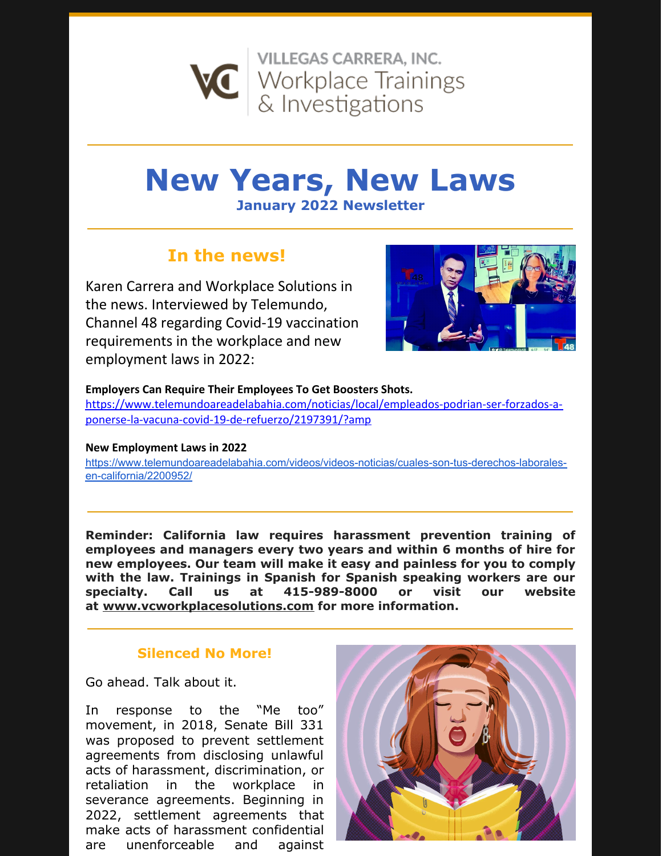

# **New Years, New Laws**

**January 2022 Newsletter**

## **In the news!**

Karen Carrera and Workplace Solutions in the news. Interviewed by Telemundo, Channel 48 regarding Covid-19 vaccination requirements in the workplace and new employment laws in 2022:



#### **Employers Can Require Their Employees To Get Boosters Shots.**

[https://www.telemundoareadelabahia.com/noticias/local/empleados-podrian-ser-forzados-a](https://www.telemundoareadelabahia.com/noticias/local/empleados-podrian-ser-forzados-a-ponerse-la-vacuna-covid-19-de-refuerzo/2197391/?amp)ponerse-la-vacuna-covid-19-de-refuerzo/2197391/?amp

#### **New Employment Laws in 2022**

[https://www.telemundoareadelabahia.com/videos/videos-noticias/cuales-son-tus-derechos-laborales](https://www.telemundoareadelabahia.com/videos/videos-noticias/cuales-son-tus-derechos-laborales-en-california/2200952/)en-california/2200952/

**Reminder: California law requires harassment prevention training of employees and managers every two years and within 6 months of hire for new employees. Our team will make it easy and painless for you to comply with the law. Trainings in Spanish for Spanish speaking workers are our specialty. Call us at 415-989-8000 or visit our website at [www.vcworkplacesolutions.com](http://www.vcworkplacesolutions.com/) for more information.**

### **Silenced No More!**

Go ahead. Talk about it.

In response to the "Me too" movement, in 2018, Senate Bill 331 was proposed to prevent settlement agreements from disclosing unlawful acts of harassment, discrimination, or retaliation in the workplace in severance agreements. Beginning in 2022, settlement agreements that make acts of harassment confidential are unenforceable and against

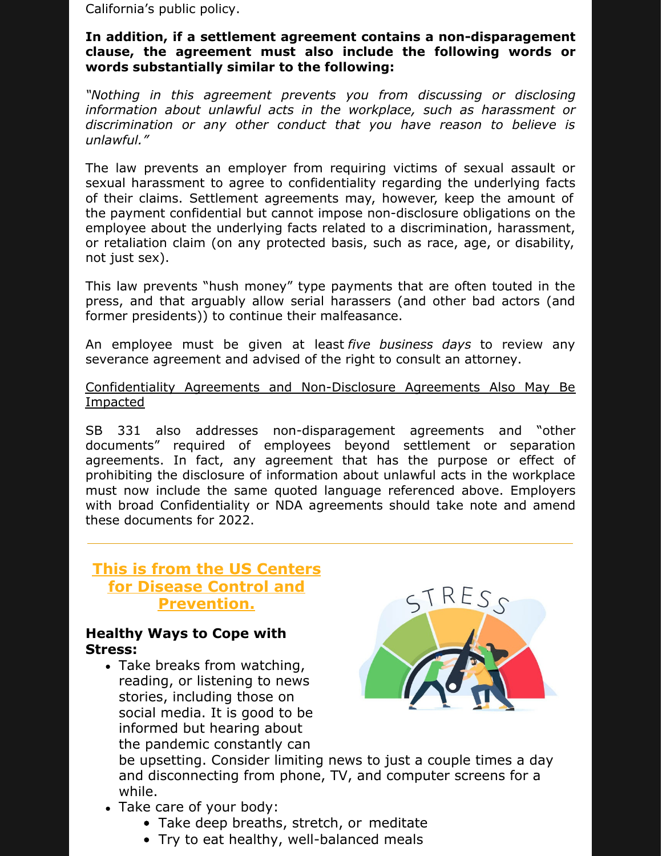California's public policy.

#### **In addition, if a settlement agreement contains a non-disparagement clause, the agreement must also include the following words or words substantially similar to the following:**

*"Nothing in this agreement prevents you from discussing or disclosing information about unlawful acts in the workplace, such as harassment or discrimination or any other conduct that you have reason to believe is unlawful."*

The law prevents an employer from requiring victims of sexual assault or sexual harassment to agree to confidentiality regarding the underlying facts of their claims. Settlement agreements may, however, keep the amount of the payment confidential but cannot impose non-disclosure obligations on the employee about the underlying facts related to a discrimination, harassment, or retaliation claim (on any protected basis, such as race, age, or disability, not just sex).

This law prevents "hush money" type payments that are often touted in the press, and that arguably allow serial harassers (and other bad actors (and former presidents)) to continue their malfeasance.

An employee must be given at least *five business days* to review any severance agreement and advised of the right to consult an attorney.

#### Confidentiality Agreements and Non-Disclosure Agreements Also May Be Impacted

SB 331 also addresses non-disparagement agreements and "other documents" required of employees beyond settlement or separation agreements. In fact, any agreement that has the purpose or effect of prohibiting the disclosure of information about unlawful acts in the workplace must now include the same quoted language referenced above. Employers with broad Confidentiality or NDA agreements should take note and amend these documents for 2022.

## **This is from the US Centers for Disease Control and Prevention.**

#### **Healthy Ways to Cope with Stress:**

• Take breaks from watching, reading, or listening to news stories, including those on social media. It is good to be informed but hearing about the pandemic constantly can



be upsetting. Consider limiting news to just a couple times a day and disconnecting from phone, TV, and computer screens for a while.

- Take care of your body:
	- Take deep breaths, stretch, or [meditate](https://www.nccih.nih.gov/health/meditation-in-depth)
	- Try to eat healthy, [well-balanced](https://www.cdc.gov/nccdphp/dnpao/features/healthy-eating-tips/index.html) meals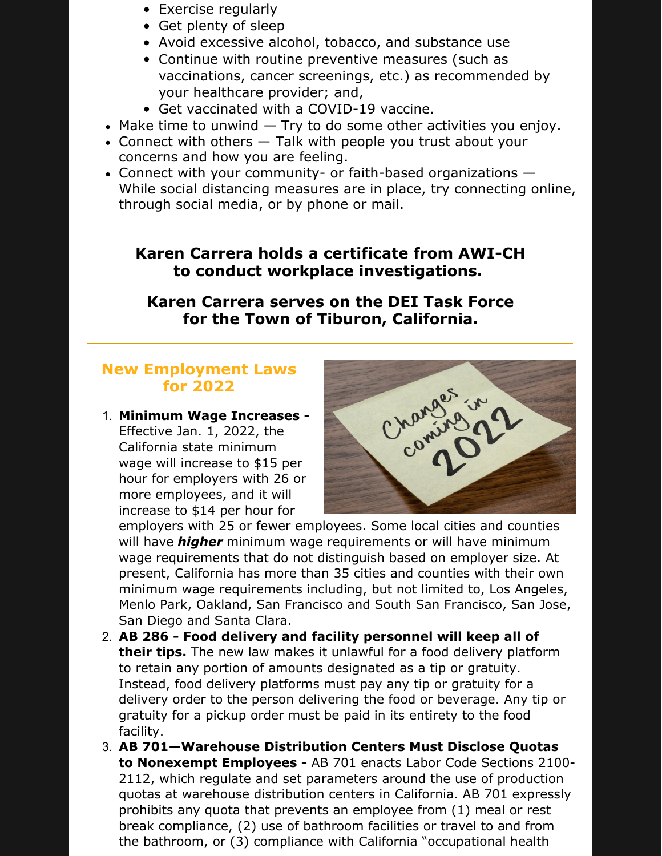- Exercise [regularly](https://www.cdc.gov/physicalactivity/basics/index.htm)
- Get [plenty](https://www.cdc.gov/sleep/about_sleep/sleep_hygiene.html) of sleep
- Avoid excessive alcohol, tobacco, and [substance](https://www.cdc.gov/coronavirus/2019-ncov/daily-life-coping/stress-coping/alcohol-use.html) use
- Continue with routine preventive measures (such as vaccinations, cancer screenings, etc.) as recommended by your healthcare provider; and,
- Get vaccinated with a COVID-19 vaccine.
- $\bullet$  Make time to unwind  $-$  Try to do some other activities you enjoy.
- Connect with others Talk with [people](https://www.cdc.gov/howrightnow/talk) you trust about your concerns and how you are feeling.
- Connect with your community- or faith-based organizations While social distancing measures are in place, try connecting online, through social media, or by phone or mail.

## **Karen Carrera holds a certificate from AWI-CH to conduct workplace investigations.**

**Karen Carrera serves on the DEI Task Force for the Town of Tiburon, California.**

## **New Employment Laws for 2022**

1. **Minimum Wage Increases -**

Effective Jan. 1, 2022, the California state minimum wage will increase to \$15 per hour for employers with 26 or more employees, and it will increase to \$14 per hour for



employers with 25 or fewer employees. Some local cities and counties will have *higher* minimum wage requirements or will have minimum wage requirements that do not distinguish based on employer size. At present, California has more than 35 cities and counties with their own minimum wage requirements including, but not limited to, Los Angeles, Menlo Park, Oakland, San Francisco and South San Francisco, San Jose, San Diego and Santa Clara.

- 2. **AB 286 - Food delivery and facility personnel will keep all of their tips.** The new law makes it unlawful for a food delivery platform to retain any portion of amounts designated as a tip or gratuity. Instead, food delivery platforms must pay any tip or gratuity for a delivery order to the person delivering the food or beverage. Any tip or gratuity for a pickup order must be paid in its entirety to the food facility.
- 3. **AB 701—Warehouse Distribution Centers Must Disclose Quotas to Nonexempt Employees -** AB 701 enacts Labor Code Sections 2100- 2112, which regulate and set parameters around the use of production quotas at warehouse distribution centers in California. AB 701 expressly prohibits any quota that prevents an employee from (1) meal or rest break compliance, (2) use of bathroom facilities or travel to and from the bathroom, or (3) compliance with California "occupational health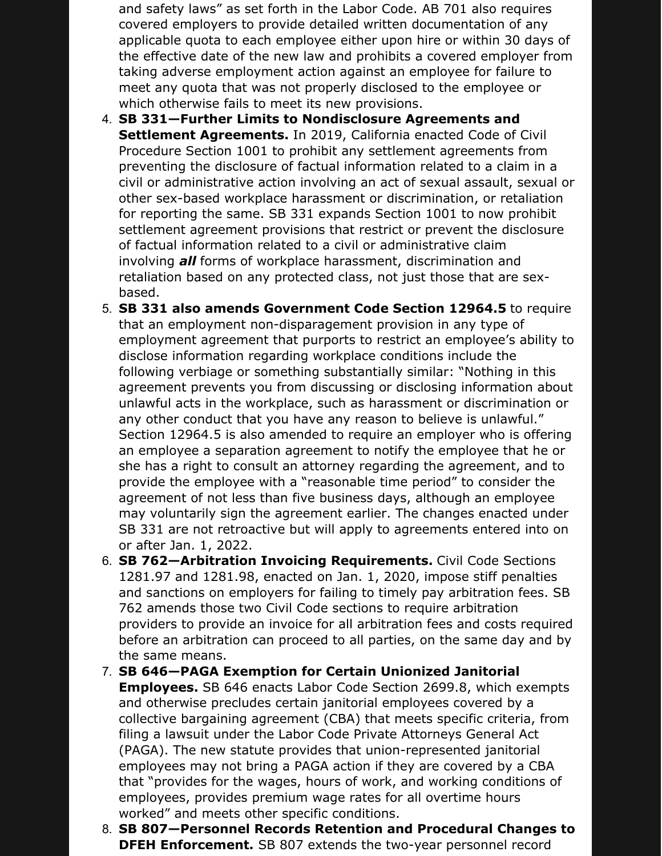and safety laws" as set forth in the Labor Code. AB 701 also requires covered employers to provide detailed written documentation of any applicable quota to each employee either upon hire or within 30 days of the effective date of the new law and prohibits a covered employer from taking adverse employment action against an employee for failure to meet any quota that was not properly disclosed to the employee or which otherwise fails to meet its new provisions.

- 4. **SB 331—Further Limits to Nondisclosure Agreements and Settlement Agreements.** In 2019, California enacted Code of Civil Procedure Section 1001 to prohibit any settlement agreements from preventing the disclosure of factual information related to a claim in a civil or administrative action involving an act of sexual assault, sexual or other sex-based workplace harassment or discrimination, or retaliation for reporting the same. SB 331 expands Section 1001 to now prohibit settlement agreement provisions that restrict or prevent the disclosure of factual information related to a civil or administrative claim involving *all* forms of workplace harassment, discrimination and retaliation based on any protected class, not just those that are sexbased.
- 5. **SB 331 also amends Government Code Section 12964.5** to require that an employment non-disparagement provision in any type of employment agreement that purports to restrict an employee's ability to disclose information regarding workplace conditions include the following verbiage or something substantially similar: "Nothing in this agreement prevents you from discussing or disclosing information about unlawful acts in the workplace, such as harassment or discrimination or any other conduct that you have any reason to believe is unlawful." Section 12964.5 is also amended to require an employer who is offering an employee a separation agreement to notify the employee that he or she has a right to consult an attorney regarding the agreement, and to provide the employee with a "reasonable time period" to consider the agreement of not less than five business days, although an employee may voluntarily sign the agreement earlier. The changes enacted under SB 331 are not retroactive but will apply to agreements entered into on or after Jan. 1, 2022.
- 6. **SB 762—Arbitration Invoicing Requirements.** Civil Code Sections 1281.97 and 1281.98, enacted on Jan. 1, 2020, impose stiff penalties and sanctions on employers for failing to timely pay arbitration fees. SB 762 amends those two Civil Code sections to require arbitration providers to provide an invoice for all arbitration fees and costs required before an arbitration can proceed to all parties, on the same day and by the same means.
- 7. **SB 646—PAGA Exemption for Certain Unionized Janitorial Employees.** SB 646 enacts Labor Code Section 2699.8, which exempts and otherwise precludes certain janitorial employees covered by a collective bargaining agreement (CBA) that meets specific criteria, from filing a lawsuit under the Labor Code Private Attorneys General Act (PAGA). The new statute provides that union-represented janitorial employees may not bring a PAGA action if they are covered by a CBA that "provides for the wages, hours of work, and working conditions of employees, provides premium wage rates for all overtime hours worked" and meets other specific conditions.
- 8. **SB 807—Personnel Records Retention and Procedural Changes to DFEH Enforcement.** SB 807 extends the two-year personnel record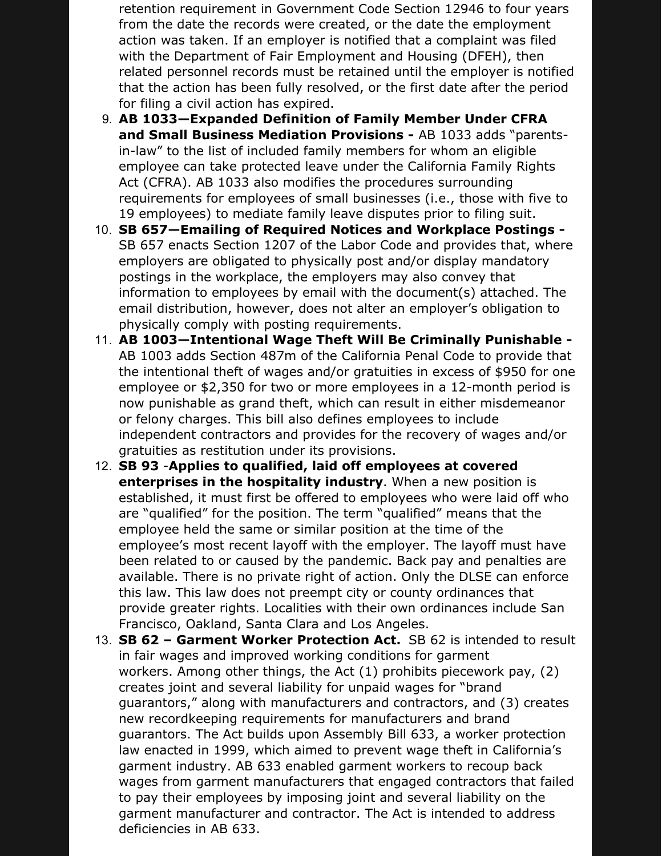retention requirement in Government Code Section 12946 to four years from the date the records were created, or the date the employment action was taken. If an employer is notified that a complaint was filed with the Department of Fair Employment and Housing (DFEH), then related personnel records must be retained until the employer is notified that the action has been fully resolved, or the first date after the period for filing a civil action has expired.

- 9. **AB 1033—Expanded Definition of Family Member Under CFRA and Small Business Mediation Provisions -** AB 1033 adds "parentsin-law" to the list of included family members for whom an eligible employee can take protected leave under the California Family Rights Act (CFRA). AB 1033 also modifies the procedures surrounding requirements for employees of small businesses (i.e., those with five to 19 employees) to mediate family leave disputes prior to filing suit.
- 10. **SB 657—Emailing of Required Notices and Workplace Postings -** SB 657 enacts Section 1207 of the Labor Code and provides that, where employers are obligated to physically post and/or display mandatory postings in the workplace, the employers may also convey that information to employees by email with the document(s) attached. The email distribution, however, does not alter an employer's obligation to physically comply with posting requirements.
- 11. **AB 1003—Intentional Wage Theft Will Be Criminally Punishable -** AB 1003 adds Section 487m of the California Penal Code to provide that the intentional theft of wages and/or gratuities in excess of \$950 for one employee or \$2,350 for two or more employees in a 12-month period is now punishable as grand theft, which can result in either misdemeanor or felony charges. This bill also defines employees to include independent contractors and provides for the recovery of wages and/or gratuities as restitution under its provisions.
- 12. **SB 93** -**Applies to qualified, laid off employees at covered enterprises in the hospitality industry**. When a new position is established, it must first be offered to employees who were laid off who are "qualified" for the position. The term "qualified" means that the employee held the same or similar position at the time of the employee's most recent layoff with the employer. The layoff must have been related to or caused by the pandemic. Back pay and penalties are available. There is no private right of action. Only the DLSE can enforce this law. This law does not preempt city or county ordinances that provide greater rights. Localities with their own ordinances include San Francisco, Oakland, Santa Clara and Los Angeles.
- 13. **SB 62 – Garment Worker Protection Act.** SB 62 is intended to result in fair wages and improved working conditions for garment workers. Among other things, the Act (1) prohibits piecework pay, (2) creates joint and several liability for unpaid wages for "brand guarantors," along with manufacturers and contractors, and (3) creates new recordkeeping requirements for manufacturers and brand guarantors. The Act builds upon Assembly Bill 633, a worker protection law enacted in 1999, which aimed to prevent wage theft in California's garment industry. AB 633 enabled garment workers to recoup back wages from garment manufacturers that engaged contractors that failed to pay their employees by imposing joint and several liability on the garment manufacturer and contractor. The Act is intended to address deficiencies in AB 633.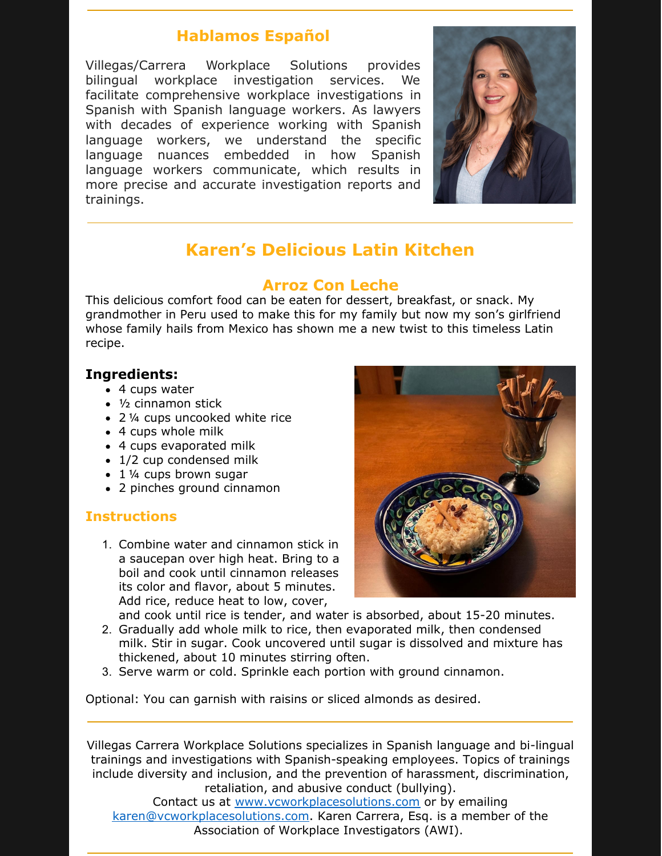## **Hablamos Español**

Villegas/Carrera Workplace Solutions provides bilingual workplace investigation services. We facilitate comprehensive workplace investigations in Spanish with Spanish language workers. As lawyers with decades of experience working with Spanish language workers, we understand the specific language nuances embedded in how Spanish language workers communicate, which results in more precise and accurate investigation reports and trainings.



# **Karen's Delicious Latin Kitchen**

## **Arroz Con Leche**

This delicious comfort food can be eaten for dessert, breakfast, or snack. My grandmother in Peru used to make this for my family but now my son's girlfriend whose family hails from Mexico has shown me a new twist to this timeless Latin recipe.

## **Ingredients:**

- 4 cups water
- ½ cinnamon stick
- 2 1/4 cups uncooked white rice
- 4 cups whole milk
- 4 cups evaporated milk
- 1/2 cup condensed milk
- 1 1/4 cups brown sugar
- 2 pinches ground cinnamon

## **Instructions**

1. Combine water and cinnamon stick in a saucepan over high heat. Bring to a boil and cook until cinnamon releases its color and flavor, about 5 minutes. Add rice, reduce heat to low, cover,



and cook until rice is tender, and water is absorbed, about 15-20 minutes.

- 2. Gradually add whole milk to rice, then evaporated milk, then condensed milk. Stir in sugar. Cook uncovered until sugar is dissolved and mixture has thickened, about 10 minutes stirring often.
- 3. Serve warm or cold. Sprinkle each portion with ground cinnamon.

Optional: You can garnish with raisins or sliced almonds as desired.

Villegas Carrera Workplace Solutions specializes in Spanish language and bi-lingual trainings and investigations with Spanish-speaking employees. Topics of trainings include diversity and inclusion, and the prevention of harassment, discrimination, retaliation, and abusive conduct (bullying).

Contact us at [www.vcworkplacesolutions.com](http://www.vcworkplacesolutions.com) or by emailing [karen@vcworkplacesolutions.com](mailto:karen@vcworkplacesolutions.com). Karen Carrera, Esq. is a member of the Association of Workplace Investigators (AWI).